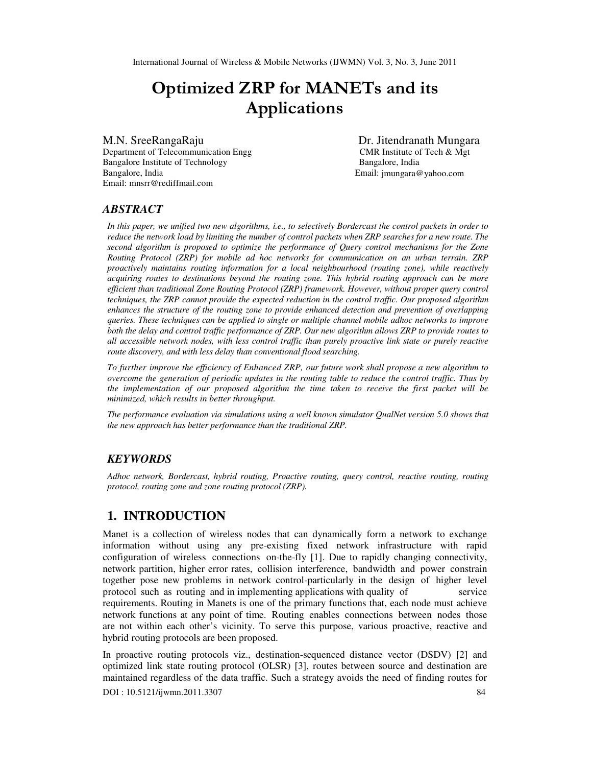# Optimized ZRP for MANETs and its Applications

Department of Telecommunication Engg CMR Institute of Tech & Mgt Bangalore Institute of Technology Bangalore, India Bangalore, India Email: jmungara@yahoo.com Email: mnsrr@rediffmail.com

M.N. SreeRangaRaju Dr. Jitendranath Mungara

# *ABSTRACT*

*In this paper, we unified two new algorithms, i.e., to selectively Bordercast the control packets in order to reduce the network load by limiting the number of control packets when ZRP searches for a new route. The second algorithm is proposed to optimize the performance of Query control mechanisms for the Zone Routing Protocol (ZRP) for mobile ad hoc networks for communication on an urban terrain. ZRP proactively maintains routing information for a local neighbourhood (routing zone), while reactively acquiring routes to destinations beyond the routing zone. This hybrid routing approach can be more efficient than traditional Zone Routing Protocol (ZRP) framework. However, without proper query control techniques, the ZRP cannot provide the expected reduction in the control traffic. Our proposed algorithm enhances the structure of the routing zone to provide enhanced detection and prevention of overlapping queries. These techniques can be applied to single or multiple channel mobile adhoc networks to improve both the delay and control traffic performance of ZRP. Our new algorithm allows ZRP to provide routes to all accessible network nodes, with less control traffic than purely proactive link state or purely reactive route discovery, and with less delay than conventional flood searching.* 

*To further improve the efficiency of Enhanced ZRP, our future work shall propose a new algorithm to overcome the generation of periodic updates in the routing table to reduce the control traffic. Thus by the implementation of our proposed algorithm the time taken to receive the first packet will be minimized, which results in better throughput.* 

*The performance evaluation via simulations using a well known simulator QualNet version 5.0 shows that the new approach has better performance than the traditional ZRP.*

# *KEYWORDS*

*Adhoc network, Bordercast, hybrid routing, Proactive routing, query control, reactive routing, routing protocol, routing zone and zone routing protocol (ZRP).* 

# **1. INTRODUCTION**

Manet is a collection of wireless nodes that can dynamically form a network to exchange information without using any pre-existing fixed network infrastructure with rapid configuration of wireless connections on-the-fly [1]. Due to rapidly changing connectivity, network partition, higher error rates, collision interference, bandwidth and power constrain together pose new problems in network control-particularly in the design of higher level protocol such as routing and in implementing applications with quality of service requirements. Routing in Manets is one of the primary functions that, each node must achieve network functions at any point of time. Routing enables connections between nodes those are not within each other's vicinity. To serve this purpose, various proactive, reactive and hybrid routing protocols are been proposed.

In proactive routing protocols viz., destination-sequenced distance vector (DSDV) [2] and optimized link state routing protocol (OLSR) [3], routes between source and destination are maintained regardless of the data traffic. Such a strategy avoids the need of finding routes for

DOI : 10.5121/ijwmn.2011.3307 84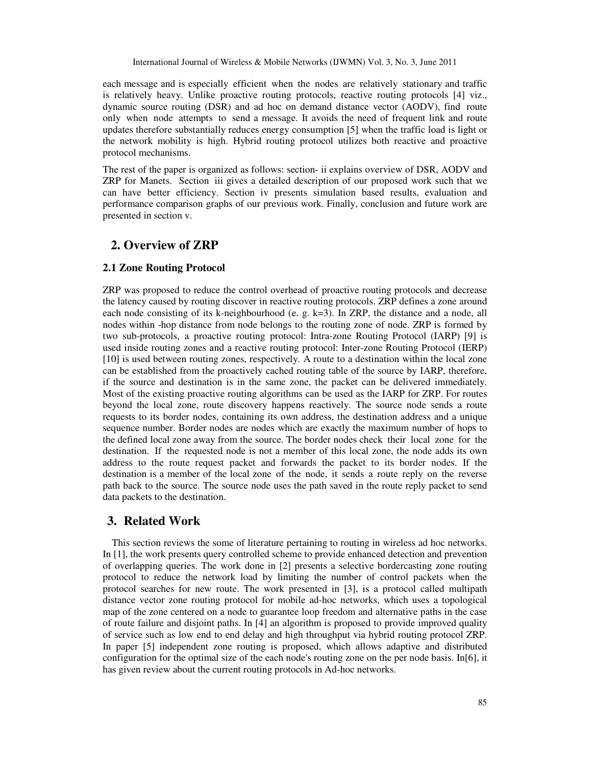each message and is especially efficient when the nodes are relatively stationary and traffic is relatively heavy. Unlike proactive routing protocols, reactive routing protocols [4] viz., dynamic source routing (DSR) and ad hoc on demand distance vector (AODV), find route only when node attempts to send a message. It avoids the need of frequent link and route updates therefore substantially reduces energy consumption [5] when the traffic load is light or the network mobility is high. Hybrid routing protocol utilizes both reactive and proactive protocol mechanisms.

The rest of the paper is organized as follows: section- ii explains overview of DSR, AODV and ZRP for Manets. Section iii gives a detailed description of our proposed work such that we can have better efficiency. Section iv presents simulation based results, evaluation and performance comparison graphs of our previous work. Finally, conclusion and future work are presented in section v.

# **2. Overview of ZRP**

#### **2.1 Zone Routing Protocol**

ZRP was proposed to reduce the control overhead of proactive routing protocols and decrease the latency caused by routing discover in reactive routing protocols. ZRP defines a zone around each node consisting of its k-neighbourhood (e. g. k=3). In ZRP, the distance and a node, all nodes within -hop distance from node belongs to the routing zone of node. ZRP is formed by two sub-protocols, a proactive routing protocol: Intra-zone Routing Protocol (IARP) [9] is used inside routing zones and a reactive routing protocol: Inter-zone Routing Protocol (IERP) [10] is used between routing zones, respectively. A route to a destination within the local zone can be established from the proactively cached routing table of the source by IARP, therefore, if the source and destination is in the same zone, the packet can be delivered immediately. Most of the existing proactive routing algorithms can be used as the IARP for ZRP. For routes beyond the local zone, route discovery happens reactively. The source node sends a route requests to its border nodes, containing its own address, the destination address and a unique sequence number. Border nodes are nodes which are exactly the maximum number of hops to the defined local zone away from the source. The border nodes check their local zone for the destination. If the requested node is not a member of this local zone, the node adds its own address to the route request packet and forwards the packet to its border nodes. If the destination is a member of the local zone of the node, it sends a route reply on the reverse path back to the source. The source node uses the path saved in the route reply packet to send data packets to the destination.

# **3. Related Work**

This section reviews the some of literature pertaining to routing in wireless ad hoc networks. In [1], the work presents query controlled scheme to provide enhanced detection and prevention of overlapping queries. The work done in [2] presents a selective bordercasting zone routing protocol to reduce the network load by limiting the number of control packets when the protocol searches for new route. The work presented in [3], is a protocol called multipath distance vector zone routing protocol for mobile ad-hoc networks, which uses a topological map of the zone centered on a node to guarantee loop freedom and alternative paths in the case of route failure and disjoint paths. In [4] an algorithm is proposed to provide improved quality of service such as low end to end delay and high throughput via hybrid routing protocol ZRP. In paper [5] independent zone routing is proposed, which allows adaptive and distributed configuration for the optimal size of the each node's routing zone on the per node basis. In[6], it has given review about the current routing protocols in Ad-hoc networks.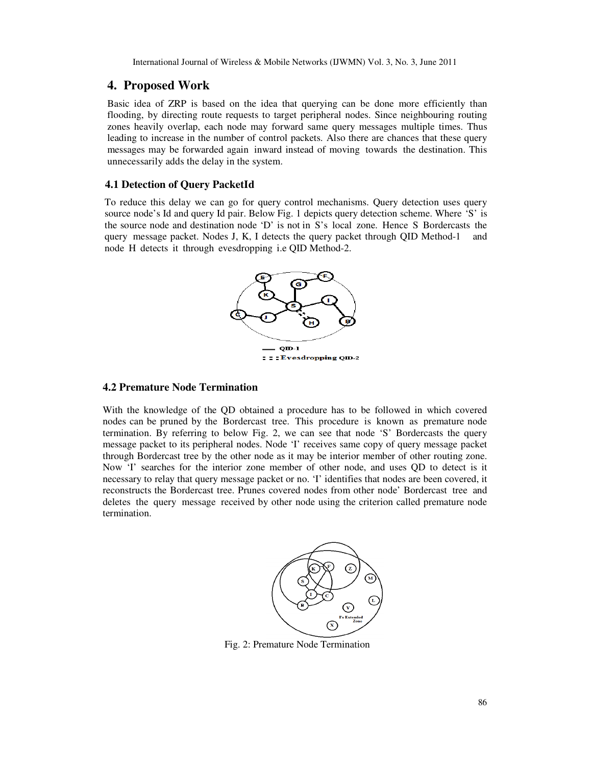### **4. Proposed Work**

Basic idea of ZRP is based on the idea that querying can be done more efficiently than flooding, by directing route requests to target peripheral nodes. Since neighbouring routing zones heavily overlap, each node may forward same query messages multiple times. Thus leading to increase in the number of control packets. Also there are chances that these query messages may be forwarded again inward instead of moving towards the destination. This unnecessarily adds the delay in the system.

#### **4.1 Detection of Query PacketId**

To reduce this delay we can go for query control mechanisms. Query detection uses query source node's Id and query Id pair. Below Fig. 1 depicts query detection scheme. Where 'S' is the source node and destination node 'D' is not in S's local zone. Hence S Bordercasts the query message packet. Nodes J, K, I detects the query packet through QID Method-1 and node H detects it through evesdropping i.e QID Method-2.



#### **4.2 Premature Node Termination**

With the knowledge of the QD obtained a procedure has to be followed in which covered nodes can be pruned by the Bordercast tree. This procedure is known as premature node termination. By referring to below Fig. 2, we can see that node 'S' Bordercasts the query message packet to its peripheral nodes. Node 'I' receives same copy of query message packet through Bordercast tree by the other node as it may be interior member of other routing zone. Now 'I' searches for the interior zone member of other node, and uses QD to detect is it necessary to relay that query message packet or no. 'I' identifies that nodes are been covered, it reconstructs the Bordercast tree. Prunes covered nodes from other node' Bordercast tree and deletes the query message received by other node using the criterion called premature node termination.



Fig. 2: Premature Node Termination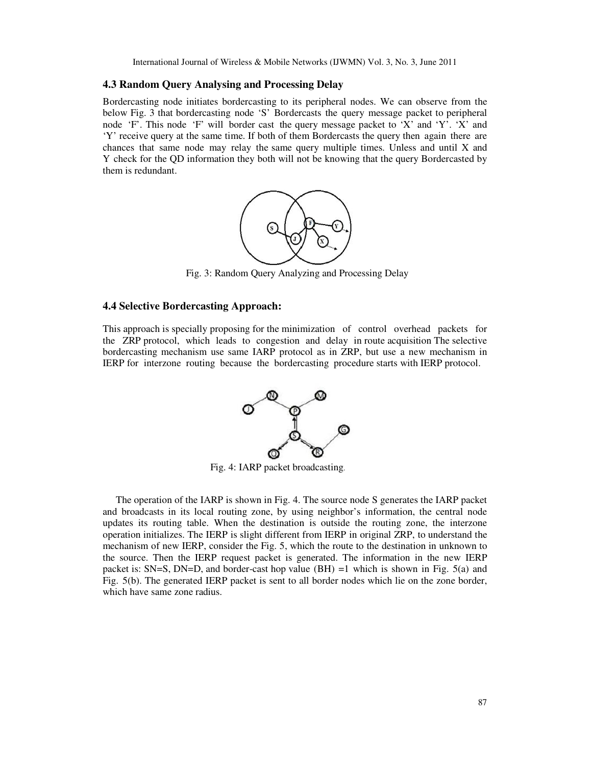#### **4.3 Random Query Analysing and Processing Delay**

Bordercasting node initiates bordercasting to its peripheral nodes. We can observe from the below Fig. 3 that bordercasting node 'S' Bordercasts the query message packet to peripheral node 'F'. This node 'F' will border cast the query message packet to 'X' and 'Y'. 'X' and 'Y' receive query at the same time. If both of them Bordercasts the query then again there are chances that same node may relay the same query multiple times. Unless and until  $X$  and Y check for the QD information they both will not be knowing that the query Bordercasted by them is redundant.



Fig. 3: Random Query Analyzing and Processing Delay

#### **4.4 Selective Bordercasting Approach:**

This approach is specially proposing for the minimization of control overhead packets for the ZRP protocol, which leads to congestion and delay in route acquisition The selective bordercasting mechanism use same IARP protocol as in ZRP, but use a new mechanism in IERP for interzone routing because the bordercasting procedure starts with IERP protocol.



Fig. 4: IARP packet broadcasting.

The operation of the IARP is shown in Fig. 4. The source node S generates the IARP packet and broadcasts in its local routing zone, by using neighbor's information, the central node updates its routing table. When the destination is outside the routing zone, the interzone operation initializes. The IERP is slight different from IERP in original ZRP, to understand the mechanism of new IERP, consider the Fig. 5, which the route to the destination in unknown to the source. Then the IERP request packet is generated. The information in the new IERP packet is: SN=S, DN=D, and border-cast hop value (BH) =1 which is shown in Fig. 5(a) and Fig. 5(b). The generated IERP packet is sent to all border nodes which lie on the zone border, which have same zone radius.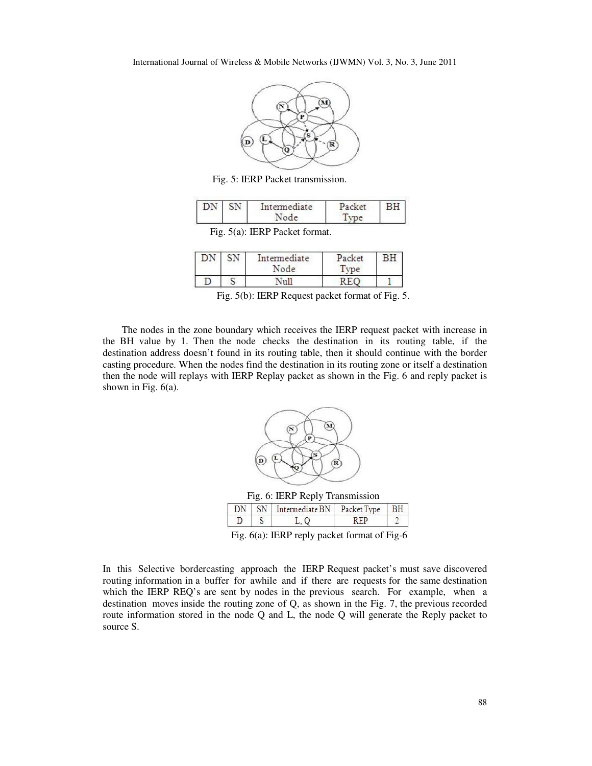

Fig. 5: IERP Packet transmission.

| DN SN | Intermediate | rat |  |
|-------|--------------|-----|--|
|       |              |     |  |

Fig. 5(a): IERP Packet format.

|  | Intermediate<br>Node | Packet<br>me |  |
|--|----------------------|--------------|--|
|  | - 11                 |              |  |

Fig. 5(b): IERP Request packet format of Fig. 5.

The nodes in the zone boundary which receives the IERP request packet with increase in the BH value by 1. Then the node checks the destination in its routing table, if the destination address doesn't found in its routing table, then it should continue with the border casting procedure. When the nodes find the destination in its routing zone or itself a destination then the node will replays with IERP Replay packet as shown in the Fig. 6 and reply packet is shown in Fig.  $6(a)$ .



Fig. 6: IERP Reply Transmission

|                                                                      |  | SN Intermediate BN Packet Type |  |  |  |
|----------------------------------------------------------------------|--|--------------------------------|--|--|--|
|                                                                      |  |                                |  |  |  |
| $\Gamma$ , $\ell$ ( ). IFDD and an index framed of $\Gamma$ , $\ell$ |  |                                |  |  |  |

Fig. 6(a): IERP reply packet format of Fig-6

In this Selective bordercasting approach the IERP Request packet's must save discovered routing information in a buffer for awhile and if there are requests for the same destination which the IERP REQ's are sent by nodes in the previous search. For example, when a destination moves inside the routing zone of Q, as shown in the Fig. 7, the previous recorded route information stored in the node Q and L, the node Q will generate the Reply packet to source S.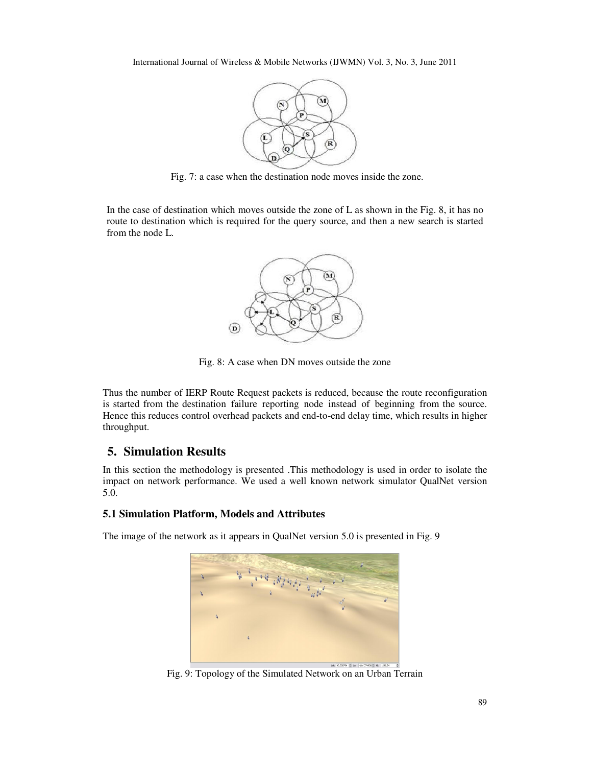

Fig. 7: a case when the destination node moves inside the zone.

In the case of destination which moves outside the zone of L as shown in the Fig. 8, it has no route to destination which is required for the query source, and then a new search is started from the node L.



Fig. 8: A case when DN moves outside the zone

Thus the number of IERP Route Request packets is reduced, because the route reconfiguration is started from the destination failure reporting node instead of beginning from the source. Hence this reduces control overhead packets and end-to-end delay time, which results in higher throughput.

# **5. Simulation Results**

In this section the methodology is presented .This methodology is used in order to isolate the impact on network performance. We used a well known network simulator QualNet version 5.0.

# **5.1 Simulation Platform, Models and Attributes**

The image of the network as it appears in QualNet version 5.0 is presented in Fig. 9



Fig. 9: Topology of the Simulated Network on an Urban Terrain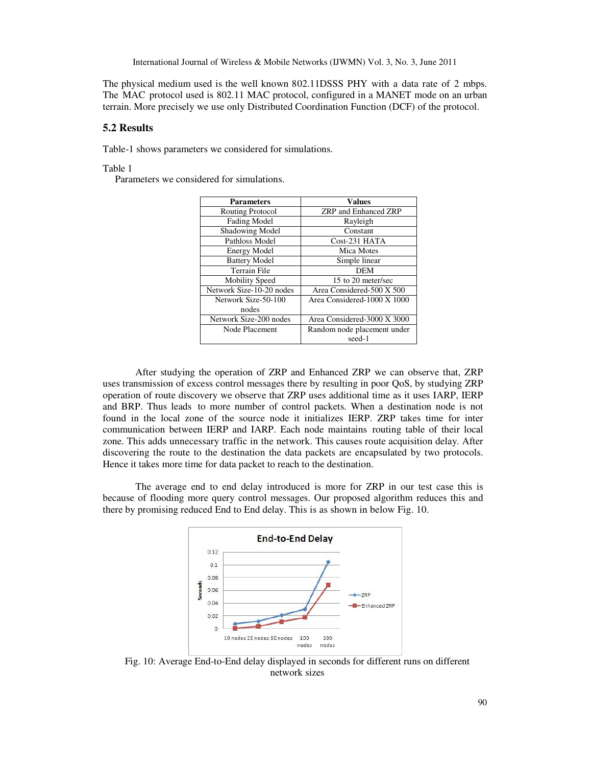The physical medium used is the well known 802.11DSSS PHY with a data rate of 2 mbps. The MAC protocol used is 802.11 MAC protocol, configured in a MANET mode on an urban terrain. More precisely we use only Distributed Coordination Function (DCF) of the protocol.

#### **5.2 Results**

Table-1 shows parameters we considered for simulations.

Table 1

Parameters we considered for simulations.

| <b>Parameters</b>        | Values                             |
|--------------------------|------------------------------------|
| <b>Routing Protocol</b>  | <b>ZRP</b> and Enhanced <b>ZRP</b> |
| <b>Fading Model</b>      | Rayleigh                           |
| Shadowing Model          | Constant                           |
| Pathloss Model           | Cost-231 HATA                      |
| <b>Energy Model</b>      | Mica Motes                         |
| <b>Battery Model</b>     | Simple linear                      |
| Terrain File             | DEM                                |
| Mobility Speed           | 15 to 20 meter/sec                 |
| Network Size-10-20 nodes | Area Considered-500 X 500          |
| Network Size-50-100      | Area Considered-1000 X 1000        |
| nodes                    |                                    |
| Network Size-200 nodes   | Area Considered-3000 X 3000        |
| Node Placement           | Random node placement under        |
|                          | seed-1                             |

After studying the operation of ZRP and Enhanced ZRP we can observe that, ZRP uses transmission of excess control messages there by resulting in poor QoS, by studying ZRP operation of route discovery we observe that ZRP uses additional time as it uses IARP, IERP and BRP. Thus leads to more number of control packets. When a destination node is not found in the local zone of the source node it initializes IERP. ZRP takes time for inter communication between IERP and IARP. Each node maintains routing table of their local zone. This adds unnecessary traffic in the network. This causes route acquisition delay. After discovering the route to the destination the data packets are encapsulated by two protocols. Hence it takes more time for data packet to reach to the destination.

The average end to end delay introduced is more for ZRP in our test case this is because of flooding more query control messages. Our proposed algorithm reduces this and there by promising reduced End to End delay. This is as shown in below Fig. 10.



Fig. 10: Average End-to-End delay displayed in seconds for different runs on different network sizes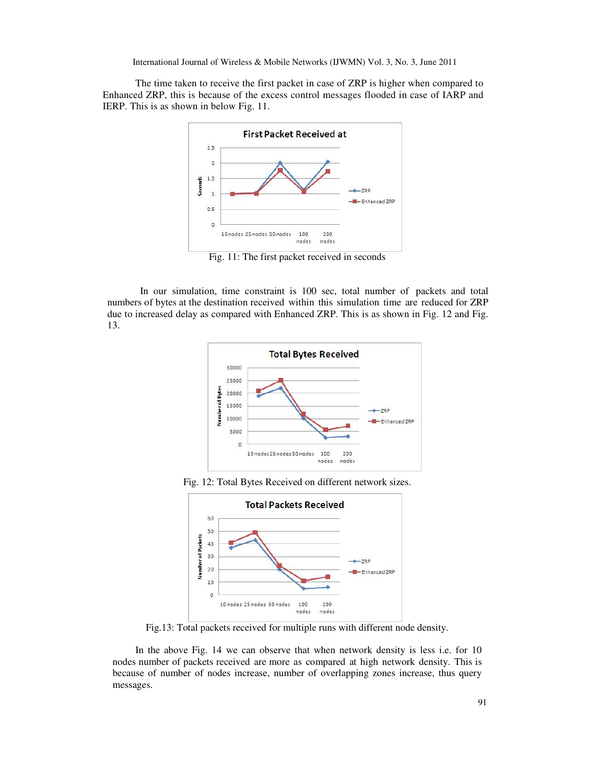The time taken to receive the first packet in case of ZRP is higher when compared to Enhanced ZRP, this is because of the excess control messages flooded in case of IARP and IERP. This is as shown in below Fig. 11.



Fig. 11: The first packet received in seconds

In our simulation, time constraint is 100 sec, total number of packets and total numbers of bytes at the destination received within this simulation time are reduced for ZRP due to increased delay as compared with Enhanced ZRP. This is as shown in Fig. 12 and Fig. 13.







Fig.13: Total packets received for multiple runs with different node density.

In the above Fig. 14 we can observe that when network density is less i.e. for 10 nodes number of packets received are more as compared at high network density. This is because of number of nodes increase, number of overlapping zones increase, thus query messages.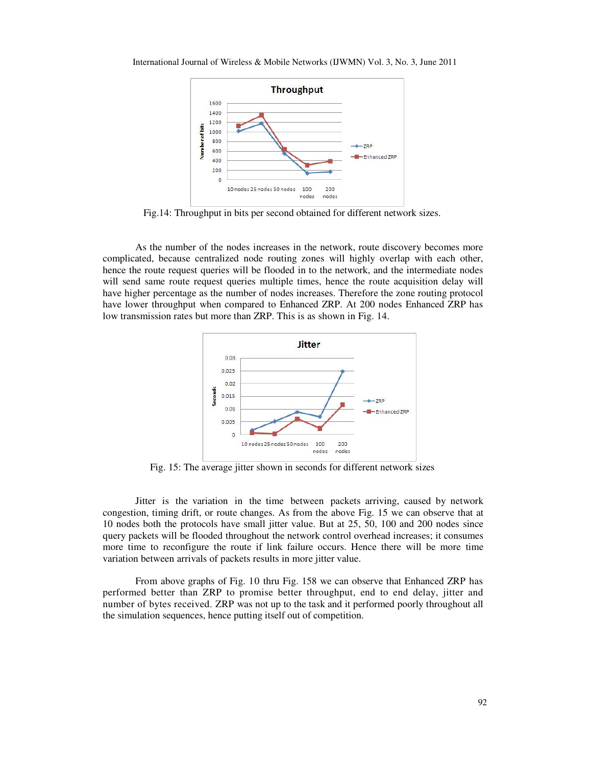

Fig.14: Throughput in bits per second obtained for different network sizes.

As the number of the nodes increases in the network, route discovery becomes more complicated, because centralized node routing zones will highly overlap with each other, hence the route request queries will be flooded in to the network, and the intermediate nodes will send same route request queries multiple times, hence the route acquisition delay will have higher percentage as the number of nodes increases. Therefore the zone routing protocol have lower throughput when compared to Enhanced ZRP. At 200 nodes Enhanced ZRP has low transmission rates but more than ZRP. This is as shown in Fig. 14.



Fig. 15: The average jitter shown in seconds for different network sizes

Jitter is the variation in the time between packets arriving, caused by network congestion, timing drift, or route changes. As from the above Fig. 15 we can observe that at 10 nodes both the protocols have small jitter value. But at 25, 50, 100 and 200 nodes since query packets will be flooded throughout the network control overhead increases; it consumes more time to reconfigure the route if link failure occurs. Hence there will be more time variation between arrivals of packets results in more jitter value.

From above graphs of Fig. 10 thru Fig. 158 we can observe that Enhanced ZRP has performed better than ZRP to promise better throughput, end to end delay, jitter and number of bytes received. ZRP was not up to the task and it performed poorly throughout all the simulation sequences, hence putting itself out of competition.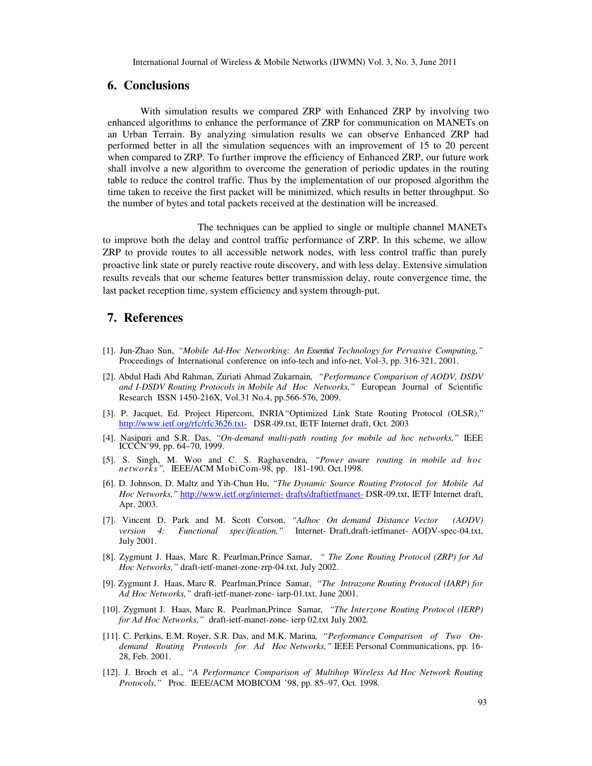### **6. Conclusions**

With simulation results we compared ZRP with Enhanced ZRP by involving two enhanced algorithms to enhance the performance of ZRP for communication on MANETs on an Urban Terrain. By analyzing simulation results we can observe Enhanced ZRP had performed better in all the simulation sequences with an improvement of 15 to 20 percent when compared to ZRP. To further improve the efficiency of Enhanced ZRP, our future work shall involve a new algorithm to overcome the generation of periodic updates in the routing table to reduce the control traffic. Thus by the implementation of our proposed algorithm the time taken to receive the first packet will be minimized, which results in better throughput. So the number of bytes and total packets received at the destination will be increased.

 The techniques can be applied to single or multiple channel MANETs to improve both the delay and control traffic performance of ZRP. In this scheme, we allow ZRP to provide routes to all accessible network nodes, with less control traffic than purely proactive link state or purely reactive route discovery, and with less delay. Extensive simulation results reveals that our scheme features better transmission delay, route convergence time, the last packet reception time, system efficiency and system through-put.

# **7. References**

- [1]. Jun-Zhao Sun, *"Mobile Ad-Hoc Networking: An Essential Technology for Pervasive Computing,"*  Proceedings of International conference on info-tech and info-net, Vol-3, pp. 316-321, 2001.
- [2]. Abdul Hadi Abd Rahman, Zuriati Ahmad Zukarnain*, "Performance Comparison of AODV, DSDV and I-DSDV Routing Protocols in Mobile Ad Hoc Networks,"* European Journal of Scientific Research ISSN 1450-216X, Vol.31 No.4, pp.566-576, 2009.
- [3]. P. Jacquet, Ed. Project Hipercom, INRIA*"*Optimized Link State Routing Protocol (OLSR)," http://www.ietf.org/rfc/rfc3626.txt- DSR-09.txt, IETF Internet draft, Oct. 2003
- [4]. Nasipuri and S.R. Das, *"On-demand multi-path routing for mobile ad hoc networks,"* IEEE ICCCN'99, pp. 64–70, 1999.
- [5]. S. Singh, M. Woo and C. S. Raghavendra*, "Power aware routing in mobile ad hoc networks",* IEEE/ACM MobiCom-98, pp. 181-190. Oct.1998.
- [6]. D. Johnson, D. Maltz and Yih-Chun Hu, *"The Dynamic Source Routing Protocol for Mobile Ad Hoc Networks,"* http://www.ietf.org/internet- drafts/draftietfmanet- DSR-09.txt, IETF Internet draft, Apr. 2003.
- [7]. Vincent D. Park and M. Scott Corson, *"Adhoc On demand Distance Vector (AODV) version 4: Functional specification,"* Internet- Draft,draft-ietfmanet- AODV-spec-04.txt, July 2001.
- [8]. Zygmunt J. Haas, Marc R. Pearlman,Prince Samar, *" The Zone Routing Protocol (ZRP) for Ad Hoc Networks,"* draft-ietf-manet-zone-zrp-04.txt, July 2002.
- [9]. Zygmunt J. Haas, Marc R. Pearlman,Prince Samar, *"The Intrazone Routing Protocol (IARP) for Ad Hoc Networks,"* draft-ietf-manet-zone- iarp-01.txt, June 2001.
- [10]. Zygmunt J. Haas, Marc R. Pearlman,Prince Samar, *"The Interzone Routing Protocol (IERP) for Ad Hoc Networks,"* draft-ietf-manet-zone- ierp 02.txt July 2002.
- [11]. C. Perkins, E.M. Royer, S.R. Das, and M.K. Marina*, "Performance Comparison of Two Ondemand Routing Protocols for Ad Hoc Networks,"* IEEE Personal Communications, pp. 16- 28, Feb. 2001.
- [12]. J. Broch et al., *"A Performance Comparison of Multihop Wireless Ad Hoc Network Routing Protocols,"* Proc. IEEE/ACM MOBICOM '98, pp. 85–97, Oct. 1998.